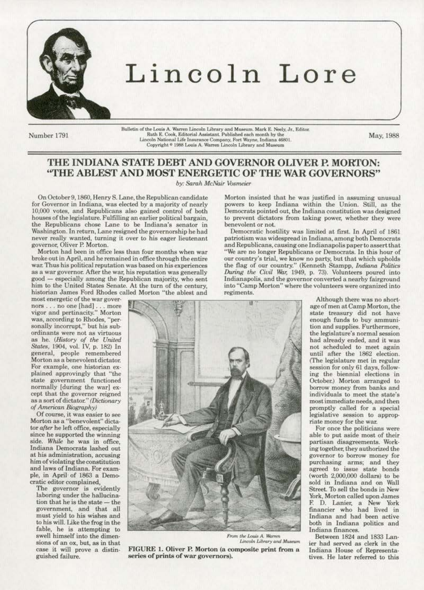

## Lincoln Lore

Number 1791

Bulletin of the Louis A. Warren Lincoln Library and Museum. Mark E. Neely, Jr., Editor.<br>Ruth E. Cook, Editorial Assistant. Published each month by the Lincoln National Life Insurance Company, Fort Wayne, Indiana 46801<br>Copyright \* 1988 Louis A. Warren Lincoln Library and Museum

May, 1988

## THE INDIANA STATE DEBT AND GOVERNOR OLIVER P. MORTON: "THE ABLEST AND MOST ENERGETIC OF THE WAR GOVERNORS"

by: Sarah McNair Vosmeier

On October 9, 1860, Henry S. Lane, the Republican candidate for Governor in Indiana, was elected by a majority of nearly 10,000 votes, and Republicans also gained control of both houses of the legislature. Fulfilling an earlier political bargain, the Republicans chose Lane to be Indiana's senator in Washington. In return, Lane resigned the governorship he had never really wanted, turning it over to his eager lieutenant governor, Oliver P. Morton.

Morton had been in office less than four months when war broke out in April, and he remained in office through the entire war. Thus his political reputation was based on his experiences as a war governor. After the war, his reputation was generally good - especially among the Republican majority, who sent him to the United States Senate. At the turn of the century. historian James Ford Rhodes called Morton "the ablest and

most energetic of the war governors . . . no one [had] . . . more<br>vigor and pertinacity." Morton was, according to Rhodes, "per-<br>sonally incorrupt," but his subordinants were not as virtuous as he. (History of the United States, 1904, vol. IV, p. 182) In general, people remembered Morton as a benevolent dictator. For example, one historian explained approvingly that "the state government functioned normally [during the war] except that the governor reigned as a sort of dictator." (Dictionary of American Biography)

Of course, it was easier to see Morton as a "benevolent" dictator after he left office, especially since he supported the winning side. While he was in office, Indiana Democrats lashed out at his administration, accusing him of violating the constitution and laws of Indiana. For example, in April of 1863 a Democratic editor complained,

The governor is evidently laboring under the hallucination that he is the state - the government, and that all must yield to his wishes and to his will. Like the frog in the fable, he is attempting to swell himself into the dimensions of an ox, but, as in that case it will prove a distinguished failure.

Morton insisted that he was justified in assuming unusual powers to keep Indiana within the Union. Still, as the Democrats pointed out, the Indiana constitution was designed to prevent dictators from taking power, whether they were benevolent or not.

Democratic hostility was limited at first. In April of 1861 patriotism was widespread in Indiana, among both Democrats and Republicans, causing one Indianapolis paper to assert that "We are no longer Republicans or Democrats. In this hour of our country's trial, we know no party, but that which upholds the flag of our country." (Kenneth Stampp, Indiana Politics During the Civil War, 1949, p. 73). Volunteers poured into Indianapolis, and the governor converted a nearby fairground into "Camp Morton" where the volunteers were organized into regiments.



From the Louis A. Warren Lincoln Library and Museum

FIGURE 1. Oliver P. Morton (a composite print from a series of prints of war governors).

Although there was no shortage of men at Camp Morton, the state treasury did not have enough funds to buy ammunition and supplies. Furthermore, the legislature's normal session had already ended, and it was not scheduled to meet again until after the 1862 election. (The legislature met in regular session for only 61 days, following the biennial elections in October.) Morton arranged to borrow money from banks and individuals to meet the state's most immediate needs, and then promptly called for a special legislative session to appropriate money for the war.

For once the politicians were able to put aside most of their partisan disagreements. Working together, they authorized the governor to borrow money for purchasing arms; and they agreed to issue state bonds (worth 2,000,000 dollars) to be sold in Indiana and on Wall Street. To sell the bonds in New York, Morton called upon James F. D. Lanier, a New York financier who had lived in Indiana and had been active both in Indiana politics and Indiana finances.

Between 1824 and 1833 Lanier had served as clerk in the Indiana House of Representatives. He later referred to this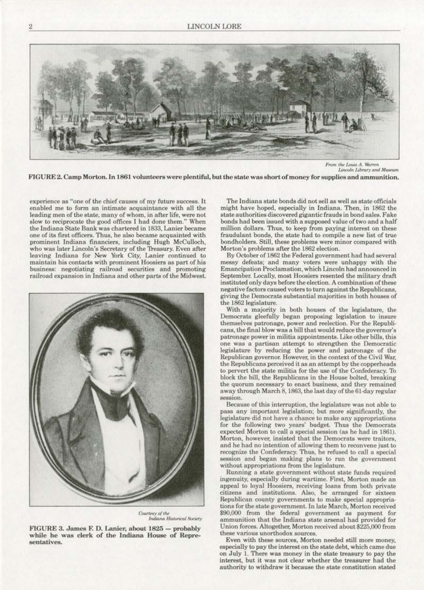

*From tht /AIM* **A K1znTn Liflf.'OUI** *Libro.ry* **ond Mt«Um** 

FIGURE 2. Camp Morton. In 1861 volunteers were plentiful, but the state was short of money for supplies and ammunition.

**experience as "one of the chief causes of my future success. lt.**  enabled me to form an intimate acquaintance with all the **leading men of the state, many of whom, in after life, were not**  slow to reciprocate the good offices I had done them.'' When the Indiana State Bank was chartered in 1833, Lanier became one of its first officers. Thus, he also became acquainted with **prominent Indiana financiers, including Hugh MeCuiJoeh,**  who was later Lincoln's Secretary of the Treasury. Even after leaving Indiana for New York City, Lanier continued to **maintain his contacts with prominent Hoosiers as part of his business: negotiating railroad securities and promoting railroad expansion in Jndjana and other parts of the Midwest.** 



Courtesy of the *Indiana Historical Society* 

FIGURE 3. James F. D. Lanier, about 1825 - probably while he was clerk of the Indiana Rouse of Repre**sentatives.** 

The Indiana state bonds did not sell as well as state officials might have hoped, especially in Indiana. Then, in 1862 the state authorities discovered gigantic frauds in bond sales. Fake bonds had been issued with a supposed value of two and a half million dollars. Thus, to keep from paying interest on these fraudulant bonds, the state had to compile a new list of true bondholders. Still, these problems were minor compared with Morton's problems after the 1862 election.

By October of 1862 the Federal government had had several **messy defeats; and many voters were unhappy with the**  Emancipation Proclamation, which Lincoln had announced in September. Locally, most Hoosiers resented the military draft instituted only days before the election. A combination of these **negative factors caused voters to turn against the Republicans,**  giving the Democrats substantial majorities in both bouses of the 1862 legislature.

With a majority in both houses of the legislature, the Democrats gleefully began proposing legislation to insure **themselves patronage, power and reelection. For the Rcpubli·**  cans, **the fmal blow was a bill that would reduce the governor's**  patronage power in militia appointments. Like other bills, this one was a partisan attempt to strengthen the Democratic legislature by reducing the power and patronage of the **Republican governor. However, in the context of the Civil War,**  the Republicans perceived it as an attempt by the copperheads to pervert the state militia for the use of the Confederacy. To block the bill, the Republicans in the House bolted, breaking **the quorum necessary to enact business, and they remained**  away through March 8, 1863, the last day of the 61·day regular **session.** 

Because of this interruption, the legislature was not able to paas any important legislation; but more significantly, the **legislature did not have a chance to make any appropriations**  for the following two years' budget. Thus the Democrats expected Morton to call a special session (as he had in 1861). Morton, however, insisted that the Democrats were traitors, and he had no intention of allowing them to reconvene just to recognize the Confederacy. Thus, he refused to call a special **session and began making plans to run lhe government**  without appropriations from the legislature.

**Running a state government without state funds required**  ingenuity, especially during wartime. First, Morton made an appeal to loyal Hoosiers, receiving loans from both private **citizens and institutions. Also, he arranged for sixteen &publican county governments to make specia1 appropria·**  tions for the state government. In late March, Morton received \$90,000 from the federal government as payment for ammunition that the Indiana state arsenal had provided for Union forces. Altogether, Morton received about \$225,000 from<br>these various unorthodox sources.

Even with these sources, Morton needed still more money, especially to pay tbe interest on the state debt, which came due on JulY I. There was money in the state treasury to pay the interest., but it was not clear whether the treasurer had the authority to withdraw it because the state constitution stated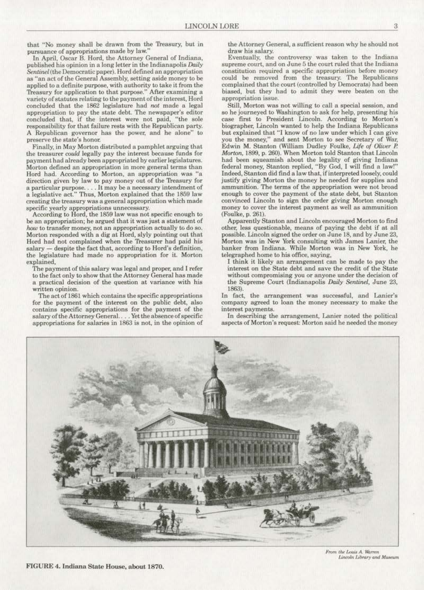that "No money shall be drawn from the Treasury, but in **pursuance of appropriations made by Jaw."** 

In April, Oscar B. Hord, the Attorney General of Indiana, published his opinion in a long letter in the Indianapolis Daily Sentinel (the Democratic paper). Hord defined an appropriation as "an act of the General Assembly, setting aside money to be applied to a definite purpose, with authority to take it from the Treasury for application to that purpose." After examining a variety of statutes relating to the payment of the interest, Hord concluded that the 1862 legislature had *not* made a legal appropriation *to* pay the state debt.. The newspaper's editor concluded that, if the interest were not paid, "the sole responsibility for that failure rests with the Republican party. A Republican governor has the power, and he alone" to **preserve the slate's honor.** 

Finally, in May Morten distributed a pamphlet arguing that the treasurer *could* legally pay the interest beeause funds for payment had already been appropriated by earlier legislatures. Morton defined an appropriation in more general terms than Hord had. According to Morton, an appropriation was "a direction given by law to pay money out of the Treasury for **a particular purpose .** ... **It may be a necessary intendment of a legislative act.." Thus, Morton explained that the 1859 law**  creating the treasury was a general appropriation which made **specific yearly appropriations unnecessary.** 

According to Hord, the 1859 law was not specific enough to be an appropriation; he argued that it was just a statement of *how* **to transfer money, not an appropriation actually to do so.**  Morton responded with a dig at Hord, slyly pointing out thal Hord had not complained when the 1reasurer had paid his salary - despite the fact that, according to Hord's definition, **the legislature had made no appropriation for it. Morton**  explained,

The payment of this salary was legal and proper, and I refer to the fact only to show that the Attorney General has made **a practical decision of the Question at variance with his**  written opinion.

The act of 1861 which contains the specific appropriations for the payment of the interest on the public debt, also contains specific appropriations for the payment of the salary of the Attorney General... . Yet the absence of specific **appropriations for salaries in 1863 is not, in the opinion of** 

the Attorney General, a sufficient reason why he should not draw his salary.

Eventually, the controversy was taken to the Indiana **supreme court, and on June 5 the court ruled that the Indiana constitution required a specific appropriation before money**  could be removed from the treasury. The Republicans complained that the court (controlled by Democrats) had been biased, but they had to admit they were beaten on the **appropriation issue.** 

Still, Morton was not willing to call a special session, and so he journeyed to Washington to ask for help, presenting his case first to President Lincoln. According to Morton's biographer, Lincoln wanted to help the Indiana Republicans **but explained that "J know of no law under which J can give**  you the money," and sent Morten to see Secretary of War, Edwin M. Stanton (William Dudley Foulke, *Life* of *Oliver P.*  Morton. 1899, p. 260). When Morton told Stanton that Lincoln had been squeamish about the legality of giving Indiana federal money, Stanton replied, "By God, I will find a law!" Indeed, Stanton did find a law that, if interpreted loosely, could justify giving Morton the money he needed for supplies and **ammunition. The terms of the appropriation were not broad**  enough to cover the payment of the state debt, but Stanton convinced Lincoln to sign the order giving Morton enough **money to cover the interest. payment. as well as ammunition**  (Foulke, p. 261).

Apparently Stanton and Lincoln encouraged Morten to find other, less questionable, means of paying the debt if at all possible. Lincoln signed the order on June 18, and by June 23, **Morton was in New York consulting with James Lanier, the**  banker from Indiana. While Morten was in New York, he telegraphed home to his office, saying,

I think it likely an arrangement can be made to pay the interest on the State debt and save the credit of the State **without compromising you or anyone under the decision of**  the Supreme Court (Indianapolis *Daily Sentinel*, June 23, 1863).

**ln fact., the arrangement was successful. and Lanier's**  company agreed to loan the money necessary to make the **interest payments.** 

**In describing the arrangement, Lanier noted the political**  aspects of Morton's request: Morten said he needed the money



From the Louis A. Warren Lincoln Library and Museum